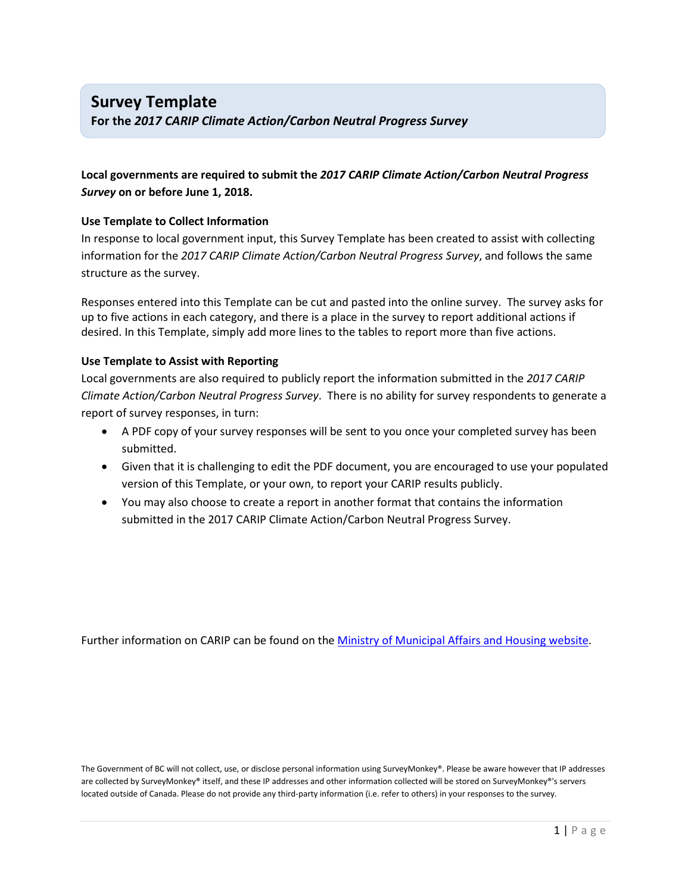## **Survey Template**

**For the** *2017 CARIP Climate Action/Carbon Neutral Progress Survey*

### **Local governments are required to submit the** *2017 CARIP Climate Action/Carbon Neutral Progress Survey* **on or before June 1, 2018.**

#### **Use Template to Collect Information**

In response to local government input, this Survey Template has been created to assist with collecting information for the *2017 CARIP Climate Action/Carbon Neutral Progress Survey*, and follows the same structure as the survey.

Responses entered into this Template can be cut and pasted into the online survey. The survey asks for up to five actions in each category, and there is a place in the survey to report additional actions if desired. In this Template, simply add more lines to the tables to report more than five actions.

#### **Use Template to Assist with Reporting**

Local governments are also required to publicly report the information submitted in the *2017 CARIP Climate Action/Carbon Neutral Progress Survey*. There is no ability for survey respondents to generate a report of survey responses, in turn:

- A PDF copy of your survey responses will be sent to you once your completed survey has been submitted.
- Given that it is challenging to edit the PDF document, you are encouraged to use your populated version of this Template, or your own, to report your CARIP results publicly.
- You may also choose to create a report in another format that contains the information submitted in the 2017 CARIP Climate Action/Carbon Neutral Progress Survey.

Further information on CARIP can be found on the [Ministry of Municipal Affairs and Housing](http://www.cscd.gov.bc.ca/lgd/greencommunities/carip.htm) website.

The Government of BC will not collect, use, or disclose personal information using SurveyMonkey®. Please be aware however that IP addresses are collected by SurveyMonkey® itself, and these IP addresses and other information collected will be stored on SurveyMonkey®'s servers located outside of Canada. Please do not provide any third-party information (i.e. refer to others) in your responses to the survey.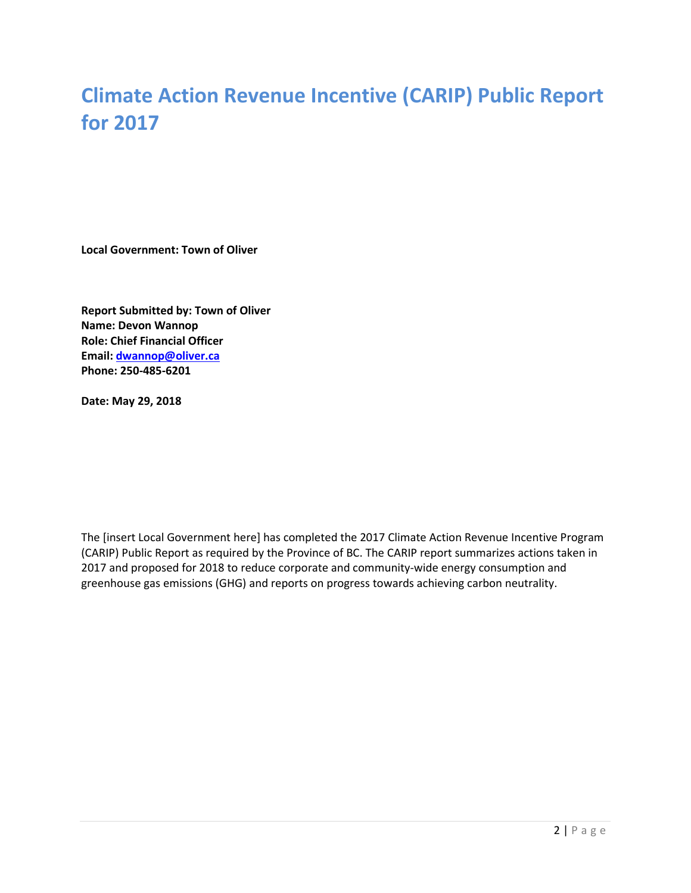# **Climate Action Revenue Incentive (CARIP) Public Report for 2017**

**Local Government: Town of Oliver**

**Report Submitted by: Town of Oliver Name: Devon Wannop Role: Chief Financial Officer Email: [dwannop@oliver.ca](mailto:dwannop@oliver.ca) Phone: 250-485-6201**

**Date: May 29, 2018**

The [insert Local Government here] has completed the 2017 Climate Action Revenue Incentive Program (CARIP) Public Report as required by the Province of BC. The CARIP report summarizes actions taken in 2017 and proposed for 2018 to reduce corporate and community-wide energy consumption and greenhouse gas emissions (GHG) and reports on progress towards achieving carbon neutrality.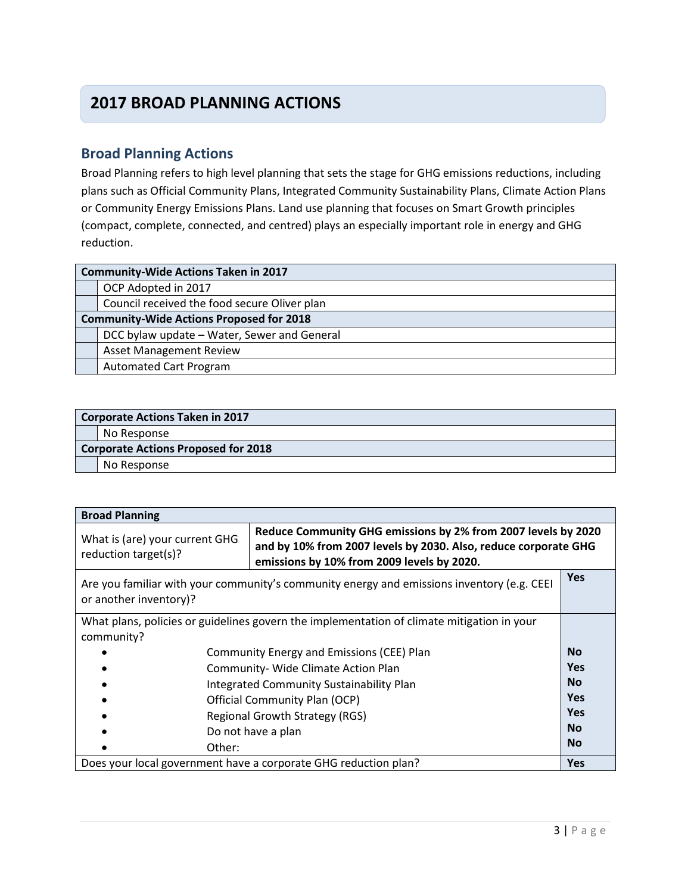## **2017 BROAD PLANNING ACTIONS**

### **Broad Planning Actions**

Broad Planning refers to high level planning that sets the stage for GHG emissions reductions, including plans such as Official Community Plans, Integrated Community Sustainability Plans, Climate Action Plans or Community Energy Emissions Plans. Land use planning that focuses on Smart Growth principles (compact, complete, connected, and centred) plays an especially important role in energy and GHG reduction.

| <b>Community-Wide Actions Taken in 2017</b>     |  |  |
|-------------------------------------------------|--|--|
| OCP Adopted in 2017                             |  |  |
| Council received the food secure Oliver plan    |  |  |
| <b>Community-Wide Actions Proposed for 2018</b> |  |  |
| DCC bylaw update - Water, Sewer and General     |  |  |
| <b>Asset Management Review</b>                  |  |  |
| <b>Automated Cart Program</b>                   |  |  |

|                                            | <b>Corporate Actions Taken in 2017</b> |  |  |
|--------------------------------------------|----------------------------------------|--|--|
|                                            | No Response                            |  |  |
| <b>Corporate Actions Proposed for 2018</b> |                                        |  |  |
|                                            | No Response                            |  |  |

| <b>Broad Planning</b>                                                                                                                                                                                                                    |                                           |            |
|------------------------------------------------------------------------------------------------------------------------------------------------------------------------------------------------------------------------------------------|-------------------------------------------|------------|
| Reduce Community GHG emissions by 2% from 2007 levels by 2020<br>What is (are) your current GHG<br>and by 10% from 2007 levels by 2030. Also, reduce corporate GHG<br>reduction target(s)?<br>emissions by 10% from 2009 levels by 2020. |                                           |            |
| Are you familiar with your community's community energy and emissions inventory (e.g. CEEI<br>or another inventory)?                                                                                                                     |                                           | <b>Yes</b> |
| What plans, policies or guidelines govern the implementation of climate mitigation in your<br>community?                                                                                                                                 |                                           |            |
|                                                                                                                                                                                                                                          | Community Energy and Emissions (CEE) Plan | <b>No</b>  |
|                                                                                                                                                                                                                                          | Community- Wide Climate Action Plan       | <b>Yes</b> |
|                                                                                                                                                                                                                                          | Integrated Community Sustainability Plan  | <b>No</b>  |
|                                                                                                                                                                                                                                          | Official Community Plan (OCP)             | <b>Yes</b> |
|                                                                                                                                                                                                                                          | <b>Regional Growth Strategy (RGS)</b>     | <b>Yes</b> |
|                                                                                                                                                                                                                                          | Do not have a plan                        | <b>No</b>  |
| Other:                                                                                                                                                                                                                                   |                                           | <b>No</b>  |
| Does your local government have a corporate GHG reduction plan?                                                                                                                                                                          |                                           | <b>Yes</b> |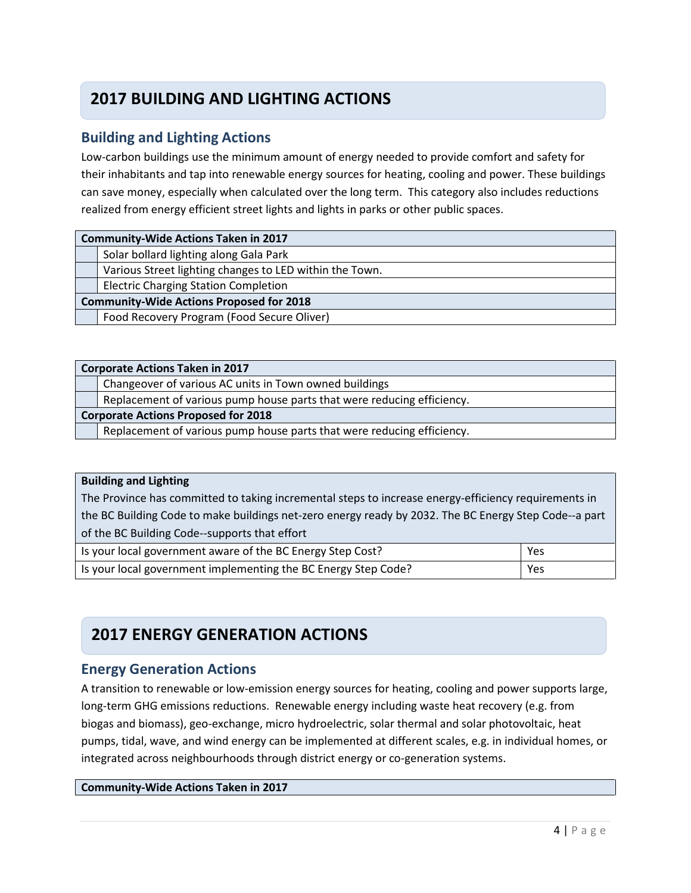## **2017 BUILDING AND LIGHTING ACTIONS**

### **Building and Lighting Actions**

Low-carbon buildings use the minimum amount of energy needed to provide comfort and safety for their inhabitants and tap into renewable energy sources for heating, cooling and power. These buildings can save money, especially when calculated over the long term. This category also includes reductions realized from energy efficient street lights and lights in parks or other public spaces.

| <b>Community-Wide Actions Taken in 2017</b>     |                                                         |  |
|-------------------------------------------------|---------------------------------------------------------|--|
|                                                 | Solar bollard lighting along Gala Park                  |  |
|                                                 | Various Street lighting changes to LED within the Town. |  |
|                                                 | <b>Electric Charging Station Completion</b>             |  |
| <b>Community-Wide Actions Proposed for 2018</b> |                                                         |  |
|                                                 | Food Recovery Program (Food Secure Oliver)              |  |
|                                                 |                                                         |  |

| <b>Corporate Actions Taken in 2017</b>     |                                                                        |  |  |
|--------------------------------------------|------------------------------------------------------------------------|--|--|
|                                            | Changeover of various AC units in Town owned buildings                 |  |  |
|                                            | Replacement of various pump house parts that were reducing efficiency. |  |  |
| <b>Corporate Actions Proposed for 2018</b> |                                                                        |  |  |
|                                            | Replacement of various pump house parts that were reducing efficiency. |  |  |
|                                            |                                                                        |  |  |

#### **Building and Lighting**

The Province has committed to taking incremental steps to increase energy-efficiency requirements in the BC Building Code to make buildings net-zero energy ready by 2032. The BC Energy Step Code--a part of the BC Building Code--supports that effort

| Is your local government aware of the BC Energy Step Cost?     | Yes |
|----------------------------------------------------------------|-----|
| Is your local government implementing the BC Energy Step Code? | Yes |

## **2017 ENERGY GENERATION ACTIONS**

### **Energy Generation Actions**

A transition to renewable or low-emission energy sources for heating, cooling and power supports large, long-term GHG emissions reductions. Renewable energy including waste heat recovery (e.g. from biogas and biomass), geo-exchange, micro hydroelectric, solar thermal and solar photovoltaic, heat pumps, tidal, wave, and wind energy can be implemented at different scales, e.g. in individual homes, or integrated across neighbourhoods through district energy or co-generation systems.

#### **Community-Wide Actions Taken in 2017**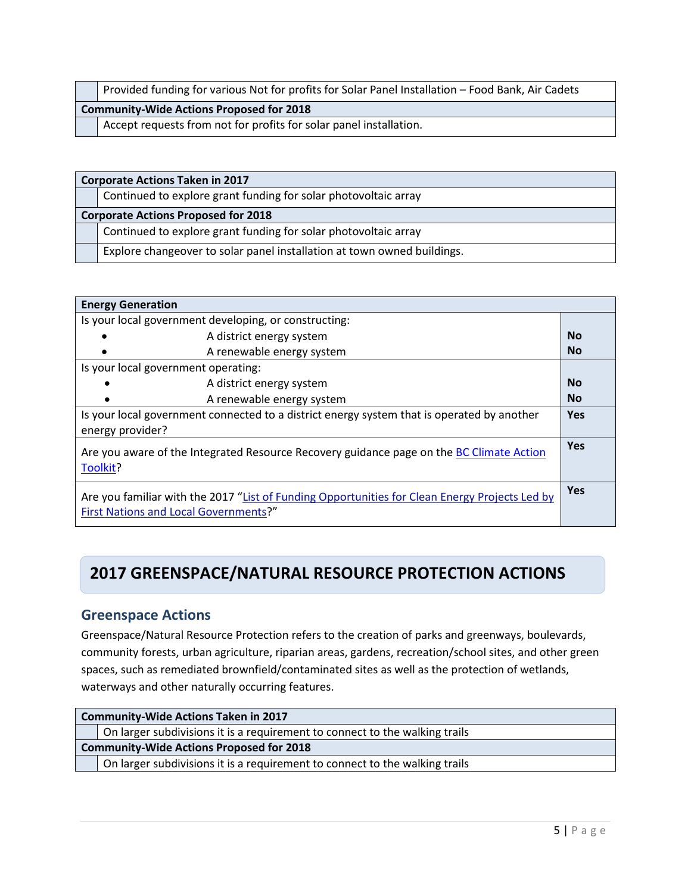|                                                                    | Provided funding for various Not for profits for Solar Panel Installation – Food Bank, Air Cadets |  |
|--------------------------------------------------------------------|---------------------------------------------------------------------------------------------------|--|
| <b>Community-Wide Actions Proposed for 2018</b>                    |                                                                                                   |  |
| Accept requests from not for profits for solar panel installation. |                                                                                                   |  |

|                                            | <b>Corporate Actions Taken in 2017</b>                                  |  |
|--------------------------------------------|-------------------------------------------------------------------------|--|
|                                            | Continued to explore grant funding for solar photovoltaic array         |  |
| <b>Corporate Actions Proposed for 2018</b> |                                                                         |  |
|                                            | Continued to explore grant funding for solar photovoltaic array         |  |
|                                            | Explore changeover to solar panel installation at town owned buildings. |  |

| <b>Energy Generation</b>                                                                                                                |           |
|-----------------------------------------------------------------------------------------------------------------------------------------|-----------|
| Is your local government developing, or constructing:                                                                                   |           |
| A district energy system                                                                                                                | Nο        |
| A renewable energy system                                                                                                               | <b>No</b> |
| Is your local government operating:                                                                                                     |           |
| A district energy system                                                                                                                | <b>No</b> |
| A renewable energy system<br>$\bullet$                                                                                                  | <b>No</b> |
| Is your local government connected to a district energy system that is operated by another<br>energy provider?                          |           |
| Are you aware of the Integrated Resource Recovery guidance page on the BC Climate Action<br>Toolkit?                                    |           |
| Are you familiar with the 2017 "List of Funding Opportunities for Clean Energy Projects Led by<br>First Nations and Local Governments?" |           |

## **2017 GREENSPACE/NATURAL RESOURCE PROTECTION ACTIONS**

### **Greenspace Actions**

Greenspace/Natural Resource Protection refers to the creation of parks and greenways, boulevards, community forests, urban agriculture, riparian areas, gardens, recreation/school sites, and other green spaces, such as remediated brownfield/contaminated sites as well as the protection of wetlands, waterways and other naturally occurring features.

| <b>Community-Wide Actions Taken in 2017</b>     |                                                                             |  |  |
|-------------------------------------------------|-----------------------------------------------------------------------------|--|--|
|                                                 | On larger subdivisions it is a requirement to connect to the walking trails |  |  |
| <b>Community-Wide Actions Proposed for 2018</b> |                                                                             |  |  |
|                                                 | On larger subdivisions it is a requirement to connect to the walking trails |  |  |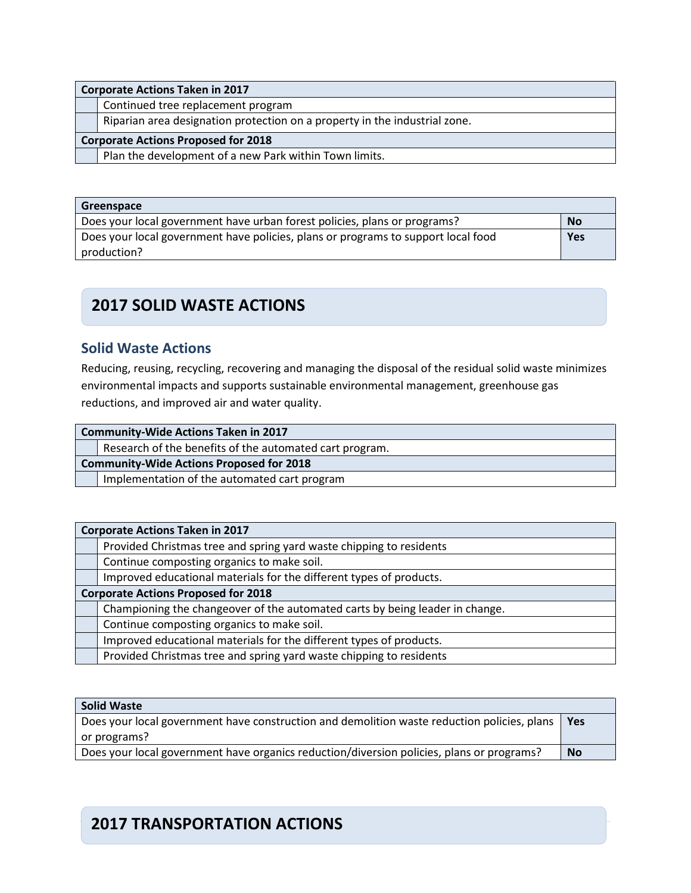|                                            | <b>Corporate Actions Taken in 2017</b>                                     |  |  |
|--------------------------------------------|----------------------------------------------------------------------------|--|--|
|                                            | Continued tree replacement program                                         |  |  |
|                                            | Riparian area designation protection on a property in the industrial zone. |  |  |
| <b>Corporate Actions Proposed for 2018</b> |                                                                            |  |  |
|                                            | Plan the development of a new Park within Town limits.                     |  |  |

| Greenspace                                                                        |           |
|-----------------------------------------------------------------------------------|-----------|
| Does your local government have urban forest policies, plans or programs?         | <b>No</b> |
| Does your local government have policies, plans or programs to support local food |           |
| production?                                                                       |           |

## **2017 SOLID WASTE ACTIONS**

### **Solid Waste Actions**

Reducing, reusing, recycling, recovering and managing the disposal of the residual solid waste minimizes environmental impacts and supports sustainable environmental management, greenhouse gas reductions, and improved air and water quality.

| <b>Community-Wide Actions Taken in 2017</b>     |                                                         |  |
|-------------------------------------------------|---------------------------------------------------------|--|
|                                                 | Research of the benefits of the automated cart program. |  |
| <b>Community-Wide Actions Proposed for 2018</b> |                                                         |  |
|                                                 | Implementation of the automated cart program            |  |

| <b>Corporate Actions Taken in 2017</b>     |                                                                              |
|--------------------------------------------|------------------------------------------------------------------------------|
|                                            | Provided Christmas tree and spring yard waste chipping to residents          |
|                                            | Continue composting organics to make soil.                                   |
|                                            | Improved educational materials for the different types of products.          |
| <b>Corporate Actions Proposed for 2018</b> |                                                                              |
|                                            | Championing the changeover of the automated carts by being leader in change. |
|                                            | Continue composting organics to make soil.                                   |
|                                            | Improved educational materials for the different types of products.          |
|                                            | Provided Christmas tree and spring yard waste chipping to residents          |

| Solid Waste                                                                                       |           |
|---------------------------------------------------------------------------------------------------|-----------|
| Does your local government have construction and demolition waste reduction policies, plans   Yes |           |
| or programs?                                                                                      |           |
| Does your local government have organics reduction/diversion policies, plans or programs?         | <b>No</b> |

## **2017 TRANSPORTATION ACTIONS**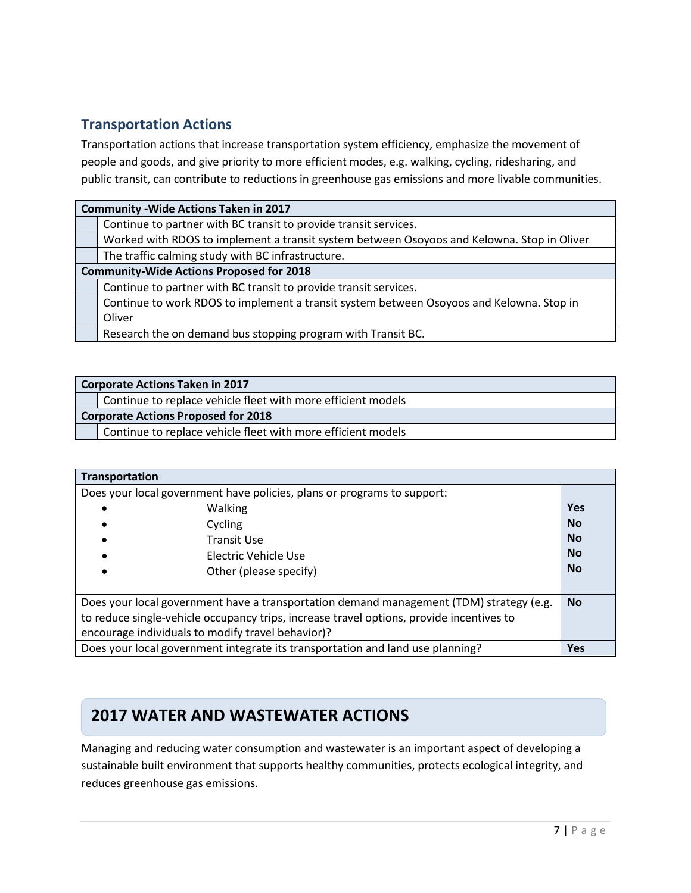### **Transportation Actions**

Transportation actions that increase transportation system efficiency, emphasize the movement of people and goods, and give priority to more efficient modes, e.g. walking, cycling, ridesharing, and public transit, can contribute to reductions in greenhouse gas emissions and more livable communities.

| <b>Community - Wide Actions Taken in 2017</b>   |                                                                                            |  |
|-------------------------------------------------|--------------------------------------------------------------------------------------------|--|
|                                                 | Continue to partner with BC transit to provide transit services.                           |  |
|                                                 | Worked with RDOS to implement a transit system between Osoyoos and Kelowna. Stop in Oliver |  |
|                                                 | The traffic calming study with BC infrastructure.                                          |  |
| <b>Community-Wide Actions Proposed for 2018</b> |                                                                                            |  |
|                                                 | Continue to partner with BC transit to provide transit services.                           |  |
|                                                 | Continue to work RDOS to implement a transit system between Osoyoos and Kelowna. Stop in   |  |
|                                                 | Oliver                                                                                     |  |
|                                                 | Research the on demand bus stopping program with Transit BC.                               |  |

| <b>Corporate Actions Taken in 2017</b>                       |  |
|--------------------------------------------------------------|--|
| Continue to replace vehicle fleet with more efficient models |  |
| <b>Corporate Actions Proposed for 2018</b>                   |  |
| Continue to replace vehicle fleet with more efficient models |  |

| Transportation                                                                           |            |
|------------------------------------------------------------------------------------------|------------|
| Does your local government have policies, plans or programs to support:                  |            |
| <b>Walking</b>                                                                           | <b>Yes</b> |
| Cycling                                                                                  | <b>No</b>  |
| <b>Transit Use</b>                                                                       | <b>No</b>  |
| Electric Vehicle Use                                                                     | <b>No</b>  |
| Other (please specify)                                                                   | <b>No</b>  |
|                                                                                          |            |
| Does your local government have a transportation demand management (TDM) strategy (e.g.  | <b>No</b>  |
| to reduce single-vehicle occupancy trips, increase travel options, provide incentives to |            |
| encourage individuals to modify travel behavior)?                                        |            |
| Does your local government integrate its transportation and land use planning?           | <b>Yes</b> |

### **Water and Wastewater Actions 2017 WATER AND WASTEWATER ACTIONS**

Managing and reducing water consumption and wastewater is an important aspect of developing a sustainable built environment that supports healthy communities, protects ecological integrity, and reduces greenhouse gas emissions.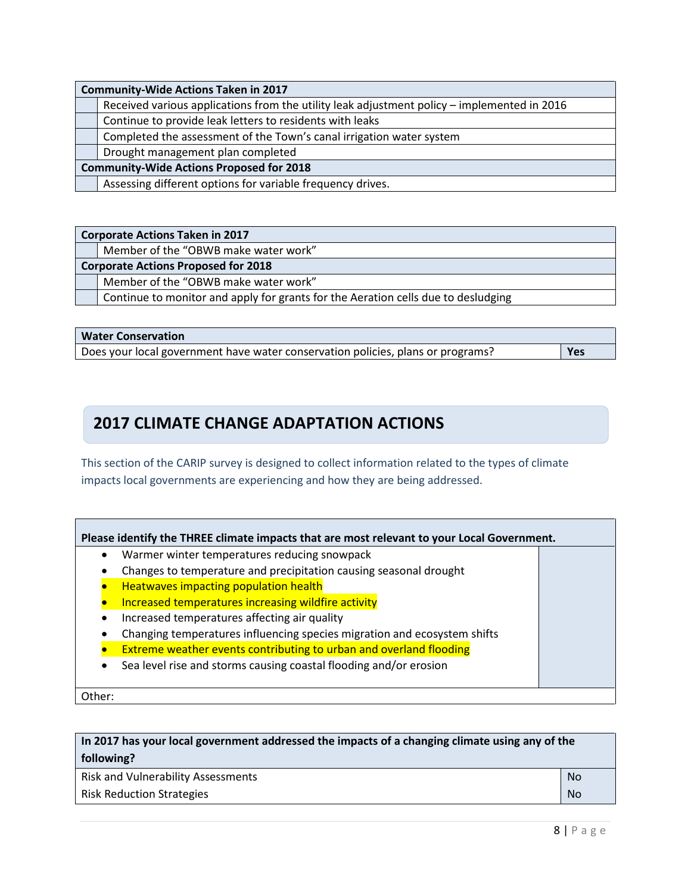| <b>Community-Wide Actions Taken in 2017</b>     |                                                                                             |  |
|-------------------------------------------------|---------------------------------------------------------------------------------------------|--|
|                                                 | Received various applications from the utility leak adjustment policy - implemented in 2016 |  |
|                                                 | Continue to provide leak letters to residents with leaks                                    |  |
|                                                 | Completed the assessment of the Town's canal irrigation water system                        |  |
|                                                 | Drought management plan completed                                                           |  |
| <b>Community-Wide Actions Proposed for 2018</b> |                                                                                             |  |
|                                                 | Assessing different options for variable frequency drives.                                  |  |

#### **Corporate Actions Taken in 2017**

Member of the "OBWB make water work"

#### **Corporate Actions Proposed for 2018**

Member of the "OBWB make water work"

Continue to monitor and apply for grants for the Aeration cells due to desludging

#### **Water Conservation**

Does your local government have water conservation policies, plans or programs? **Yes**

## **2017 CLIMATE CHANGE ADAPTATION ACTIONS**

This section of the CARIP survey is designed to collect information related to the types of climate impacts local governments are experiencing and how they are being addressed.

| Please identify the THREE climate impacts that are most relevant to your Local Government. |
|--------------------------------------------------------------------------------------------|
|                                                                                            |

- Warmer winter temperatures reducing snowpack
- Changes to temperature and precipitation causing seasonal drought
- Heatwaves impacting population health
- Increased temperatures increasing wildfire activity
- Increased temperatures affecting air quality
- Changing temperatures influencing species migration and ecosystem shifts
- Extreme weather events contributing to urban and overland flooding
- Sea level rise and storms causing coastal flooding and/or erosion

Other:

| In 2017 has your local government addressed the impacts of a changing climate using any of the |     |  |
|------------------------------------------------------------------------------------------------|-----|--|
| following?                                                                                     |     |  |
| <b>Risk and Vulnerability Assessments</b>                                                      | No. |  |
| <b>Risk Reduction Strategies</b>                                                               |     |  |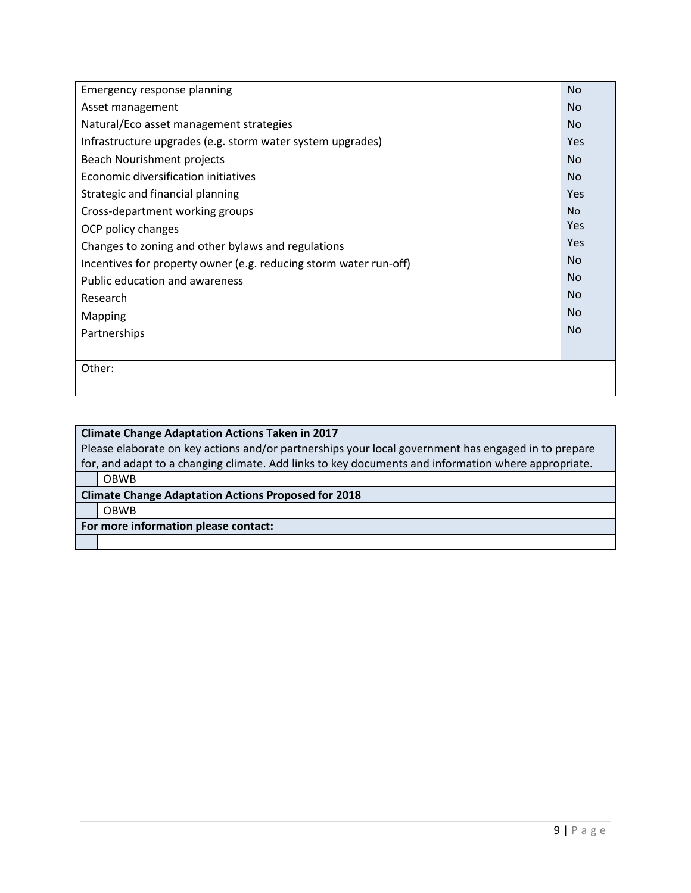| Emergency response planning                                       | <b>No</b>      |
|-------------------------------------------------------------------|----------------|
| Asset management                                                  | No.            |
| Natural/Eco asset management strategies                           | <b>No</b>      |
| Infrastructure upgrades (e.g. storm water system upgrades)        | Yes            |
| Beach Nourishment projects                                        | <b>No</b>      |
| Economic diversification initiatives                              | <b>No</b>      |
| Strategic and financial planning                                  | Yes            |
| Cross-department working groups                                   | <b>No</b>      |
| OCP policy changes                                                | Yes            |
| Changes to zoning and other bylaws and regulations                | Yes            |
| Incentives for property owner (e.g. reducing storm water run-off) | N <sub>o</sub> |
| Public education and awareness                                    | <b>No</b>      |
| Research                                                          | N <sub>o</sub> |
| Mapping                                                           | N <sub>o</sub> |
| Partnerships                                                      | <b>No</b>      |
|                                                                   |                |
| Other:                                                            |                |
|                                                                   |                |

| <b>Climate Change Adaptation Actions Taken in 2017</b>                                              |  |
|-----------------------------------------------------------------------------------------------------|--|
| Please elaborate on key actions and/or partnerships your local government has engaged in to prepare |  |
| for, and adapt to a changing climate. Add links to key documents and information where appropriate. |  |
| <b>OBWB</b>                                                                                         |  |
| <b>Climate Change Adaptation Actions Proposed for 2018</b>                                          |  |
| <b>OBWB</b>                                                                                         |  |
| For more information please contact:                                                                |  |
|                                                                                                     |  |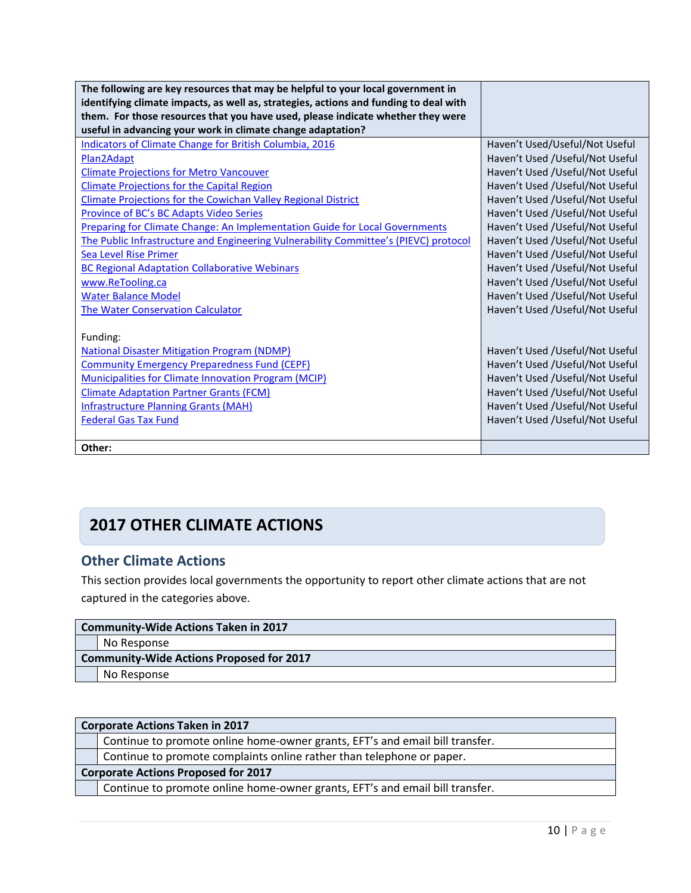| The following are key resources that may be helpful to your local government in       |                                 |
|---------------------------------------------------------------------------------------|---------------------------------|
| identifying climate impacts, as well as, strategies, actions and funding to deal with |                                 |
| them. For those resources that you have used, please indicate whether they were       |                                 |
| useful in advancing your work in climate change adaptation?                           |                                 |
| <b>Indicators of Climate Change for British Columbia, 2016</b>                        | Haven't Used/Useful/Not Useful  |
| Plan2Adapt                                                                            | Haven't Used /Useful/Not Useful |
| <b>Climate Projections for Metro Vancouver</b>                                        | Haven't Used /Useful/Not Useful |
| <b>Climate Projections for the Capital Region</b>                                     | Haven't Used /Useful/Not Useful |
| <b>Climate Projections for the Cowichan Valley Regional District</b>                  | Haven't Used /Useful/Not Useful |
| Province of BC's BC Adapts Video Series                                               | Haven't Used /Useful/Not Useful |
| <b>Preparing for Climate Change: An Implementation Guide for Local Governments</b>    | Haven't Used /Useful/Not Useful |
| The Public Infrastructure and Engineering Vulnerability Committee's (PIEVC) protocol  | Haven't Used /Useful/Not Useful |
| Sea Level Rise Primer                                                                 | Haven't Used /Useful/Not Useful |
| <b>BC Regional Adaptation Collaborative Webinars</b>                                  | Haven't Used /Useful/Not Useful |
| www.ReTooling.ca                                                                      | Haven't Used /Useful/Not Useful |
| <b>Water Balance Model</b>                                                            | Haven't Used /Useful/Not Useful |
| <b>The Water Conservation Calculator</b>                                              | Haven't Used /Useful/Not Useful |
|                                                                                       |                                 |
| Funding:                                                                              |                                 |
| <b>National Disaster Mitigation Program (NDMP)</b>                                    | Haven't Used /Useful/Not Useful |
| <b>Community Emergency Preparedness Fund (CEPF)</b>                                   | Haven't Used /Useful/Not Useful |
| <b>Municipalities for Climate Innovation Program (MCIP)</b>                           | Haven't Used /Useful/Not Useful |
| <b>Climate Adaptation Partner Grants (FCM)</b>                                        | Haven't Used /Useful/Not Useful |
| <b>Infrastructure Planning Grants (MAH)</b>                                           | Haven't Used /Useful/Not Useful |
| <b>Federal Gas Tax Fund</b>                                                           | Haven't Used /Useful/Not Useful |
|                                                                                       |                                 |
| Other:                                                                                |                                 |

## **2017 OTHER CLIMATE ACTIONS**

## **Other Climate Actions**

This section provides local governments the opportunity to report other climate actions that are not captured in the categories above.

| <b>Community-Wide Actions Taken in 2017</b>     |             |  |  |
|-------------------------------------------------|-------------|--|--|
|                                                 | No Response |  |  |
| <b>Community-Wide Actions Proposed for 2017</b> |             |  |  |
|                                                 | No Response |  |  |

|                                            | <b>Corporate Actions Taken in 2017</b>                                       |  |  |
|--------------------------------------------|------------------------------------------------------------------------------|--|--|
|                                            | Continue to promote online home-owner grants, EFT's and email bill transfer. |  |  |
|                                            | Continue to promote complaints online rather than telephone or paper.        |  |  |
| <b>Corporate Actions Proposed for 2017</b> |                                                                              |  |  |
|                                            | Continue to promote online home-owner grants, EFT's and email bill transfer. |  |  |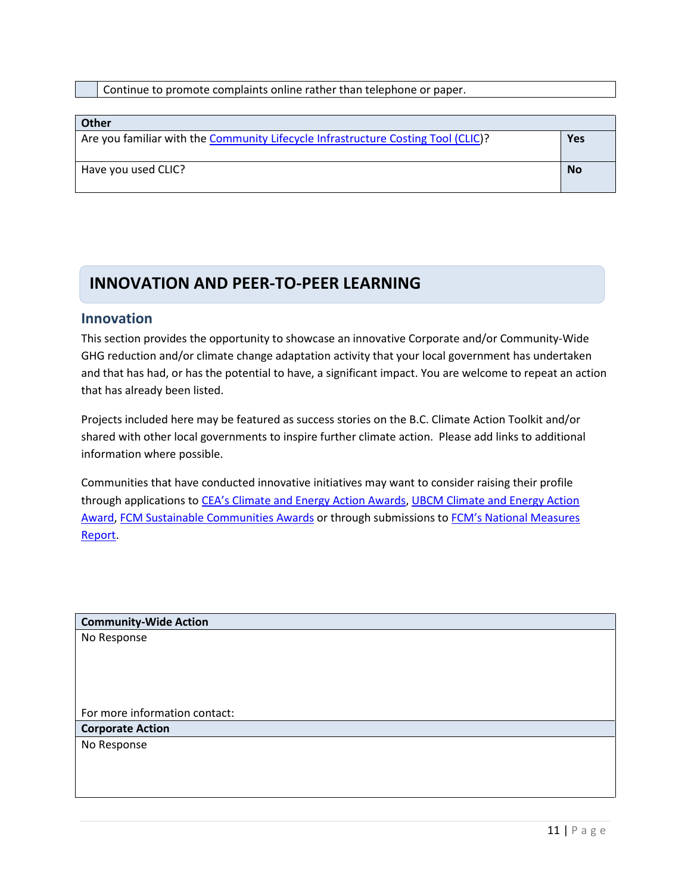Continue to promote complaints online rather than telephone or paper.

| <b>Other</b>                                                                      |           |
|-----------------------------------------------------------------------------------|-----------|
| Are you familiar with the Community Lifecycle Infrastructure Costing Tool (CLIC)? | Yes       |
|                                                                                   |           |
| Have you used CLIC?                                                               | <b>No</b> |
|                                                                                   |           |

## **INNOVATION AND PEER-TO-PEER LEARNING**

#### **Innovation**

This section provides the opportunity to showcase an innovative Corporate and/or Community-Wide GHG reduction and/or climate change adaptation activity that your local government has undertaken and that has had, or has the potential to have, a significant impact. You are welcome to repeat an action that has already been listed.

Projects included here may be featured as success stories on the B.C. Climate Action Toolkit and/or shared with other local governments to inspire further climate action. Please add links to additional information where possible.

Communities that have conducted innovative initiatives may want to consider raising their profile through applications to CEA's [Climate and Energy Action Awards,](http://communityenergy.bc.ca/climate-and-energy-action-awards/) [UBCM Climate and Energy Action](http://www.ubcm.ca/EN/meta/news/news-archive/2016-archive/climate-and-energy-action-awards.html)  [Award,](http://www.ubcm.ca/EN/meta/news/news-archive/2016-archive/climate-and-energy-action-awards.html) [FCM Sustainable Communities Awards](https://fcm.ca/home/awards/sustainable-communities-awards.htm) or through submissions to FCM's National Measures [Report.](https://fcm.ca/home/programs/partners-for-climate-protection/national-measures-report.htm)

**Community-Wide Action** No Response For more information contact: **Corporate Action** No Response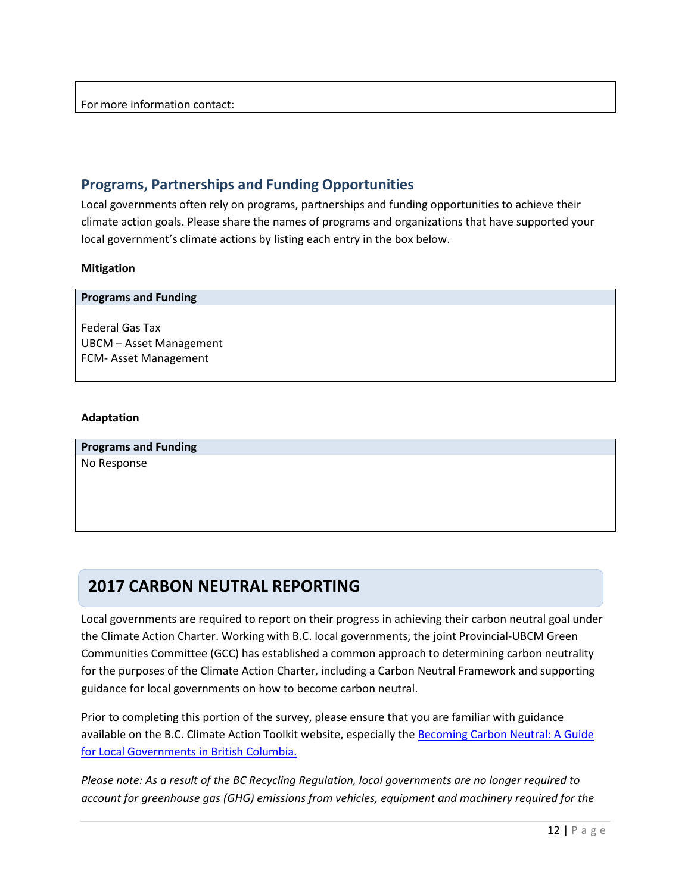### **Programs, Partnerships and Funding Opportunities**

Local governments often rely on programs, partnerships and funding opportunities to achieve their climate action goals. Please share the names of programs and organizations that have supported your local government's climate actions by listing each entry in the box below.

#### **Mitigation**

| <b>Programs and Funding</b>                |
|--------------------------------------------|
|                                            |
| Federal Gas Tax<br>UBCM - Asset Management |
| FCM-Asset Management                       |
|                                            |

#### **Adaptation**

**Programs and Funding** No Response

## **2017 CARBON NEUTRAL REPORTING**

Local governments are required to report on their progress in achieving their carbon neutral goal under the Climate Action Charter. Working with B.C. local governments, the joint Provincial-UBCM Green Communities Committee (GCC) has established a common approach to determining carbon neutrality for the purposes of the Climate Action Charter, including a Carbon Neutral Framework and supporting guidance for local governments on how to become carbon neutral.

Prior to completing this portion of the survey, please ensure that you are familiar with guidance available on the B.C. Climate Action Toolkit website, especially the Becoming Carbon Neutral: A Guide [for Local Governments in British Columbia.](http://www.toolkit.bc.ca/sites/default/files/Becoming%20Carbon%20Neutral%20V3%20FINAL%20July%202014_0.pdf)

*Please note: As a result of the BC Recycling Regulation, local governments are no longer required to account for greenhouse gas (GHG) emissions from vehicles, equipment and machinery required for the*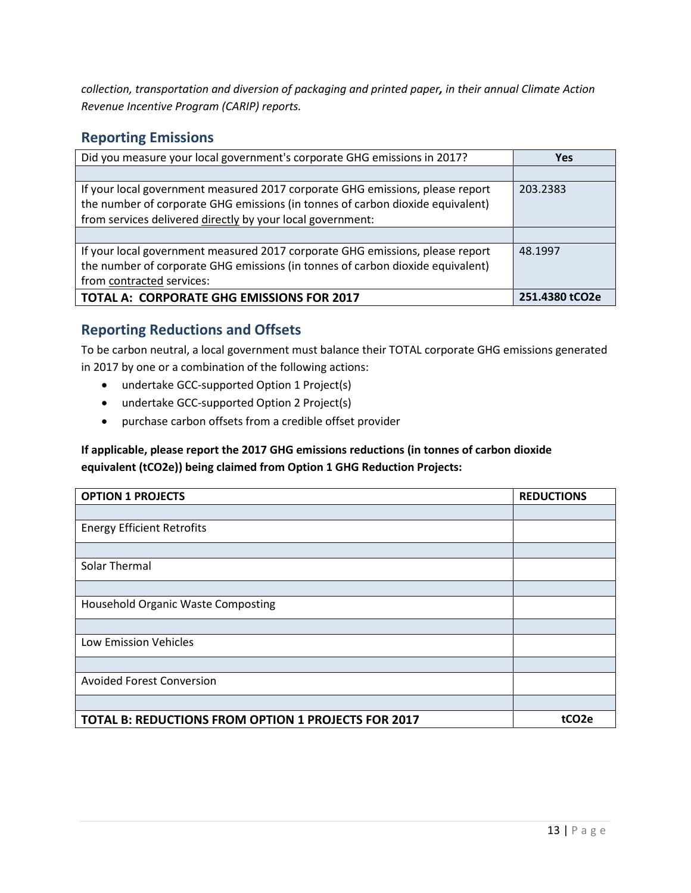*collection, transportation and diversion of packaging and printed paper, in their annual Climate Action Revenue Incentive Program (CARIP) reports.*

### **Reporting Emissions**

| Did you measure your local government's corporate GHG emissions in 2017?                                                                                                                                                      | <b>Yes</b>     |
|-------------------------------------------------------------------------------------------------------------------------------------------------------------------------------------------------------------------------------|----------------|
|                                                                                                                                                                                                                               |                |
| If your local government measured 2017 corporate GHG emissions, please report<br>the number of corporate GHG emissions (in tonnes of carbon dioxide equivalent)<br>from services delivered directly by your local government: | 203.2383       |
|                                                                                                                                                                                                                               |                |
| If your local government measured 2017 corporate GHG emissions, please report<br>the number of corporate GHG emissions (in tonnes of carbon dioxide equivalent)<br>from contracted services:                                  | 48.1997        |
| <b>TOTAL A: CORPORATE GHG EMISSIONS FOR 2017</b>                                                                                                                                                                              | 251.4380 tCO2e |

### **Reporting Reductions and Offsets**

To be carbon neutral, a local government must balance their TOTAL corporate GHG emissions generated in 2017 by one or a combination of the following actions:

- undertake GCC-supported Option 1 Project(s)
- undertake GCC-supported Option 2 Project(s)
- purchase carbon offsets from a credible offset provider

### **If applicable, please report the 2017 GHG emissions reductions (in tonnes of carbon dioxide equivalent (tCO2e)) being claimed from Option 1 GHG Reduction Projects:**

| <b>OPTION 1 PROJECTS</b>                            | <b>REDUCTIONS</b> |
|-----------------------------------------------------|-------------------|
|                                                     |                   |
| <b>Energy Efficient Retrofits</b>                   |                   |
|                                                     |                   |
| Solar Thermal                                       |                   |
|                                                     |                   |
| Household Organic Waste Composting                  |                   |
|                                                     |                   |
| Low Emission Vehicles                               |                   |
|                                                     |                   |
| <b>Avoided Forest Conversion</b>                    |                   |
|                                                     |                   |
| TOTAL B: REDUCTIONS FROM OPTION 1 PROJECTS FOR 2017 | tCO <sub>2e</sub> |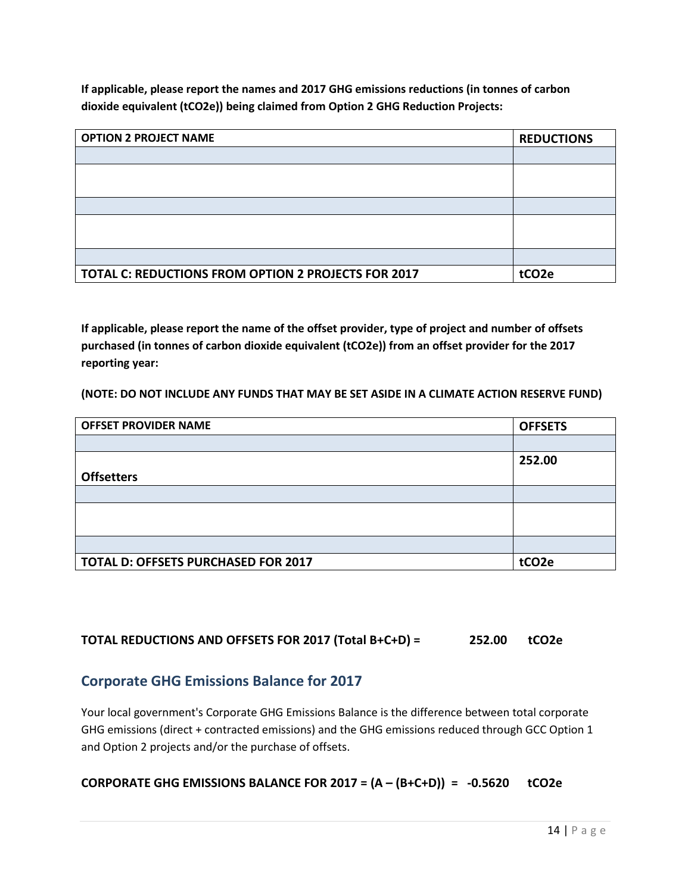**If applicable, please report the names and 2017 GHG emissions reductions (in tonnes of carbon dioxide equivalent (tCO2e)) being claimed from Option 2 GHG Reduction Projects:**

| <b>OPTION 2 PROJECT NAME</b>                        | <b>REDUCTIONS</b> |
|-----------------------------------------------------|-------------------|
|                                                     |                   |
|                                                     |                   |
|                                                     |                   |
|                                                     |                   |
|                                                     |                   |
|                                                     |                   |
|                                                     |                   |
| TOTAL C: REDUCTIONS FROM OPTION 2 PROJECTS FOR 2017 | tCO <sub>2e</sub> |

**If applicable, please report the name of the offset provider, type of project and number of offsets purchased (in tonnes of carbon dioxide equivalent (tCO2e)) from an offset provider for the 2017 reporting year:**

**(NOTE: DO NOT INCLUDE ANY FUNDS THAT MAY BE SET ASIDE IN A CLIMATE ACTION RESERVE FUND)**

| <b>OFFSET PROVIDER NAME</b>                | <b>OFFSETS</b>    |
|--------------------------------------------|-------------------|
|                                            |                   |
|                                            | 252.00            |
| <b>Offsetters</b>                          |                   |
|                                            |                   |
|                                            |                   |
|                                            |                   |
|                                            |                   |
| <b>TOTAL D: OFFSETS PURCHASED FOR 2017</b> | tCO <sub>2e</sub> |

### **TOTAL REDUCTIONS AND OFFSETS FOR 2017 (Total B+C+D) = 252.00 tCO2e**

### **Corporate GHG Emissions Balance for 2017**

Your local government's Corporate GHG Emissions Balance is the difference between total corporate GHG emissions (direct + contracted emissions) and the GHG emissions reduced through GCC Option 1 and Option 2 projects and/or the purchase of offsets.

#### **CORPORATE GHG EMISSIONS BALANCE FOR 2017 = (A – (B+C+D)) = -0.5620 tCO2e**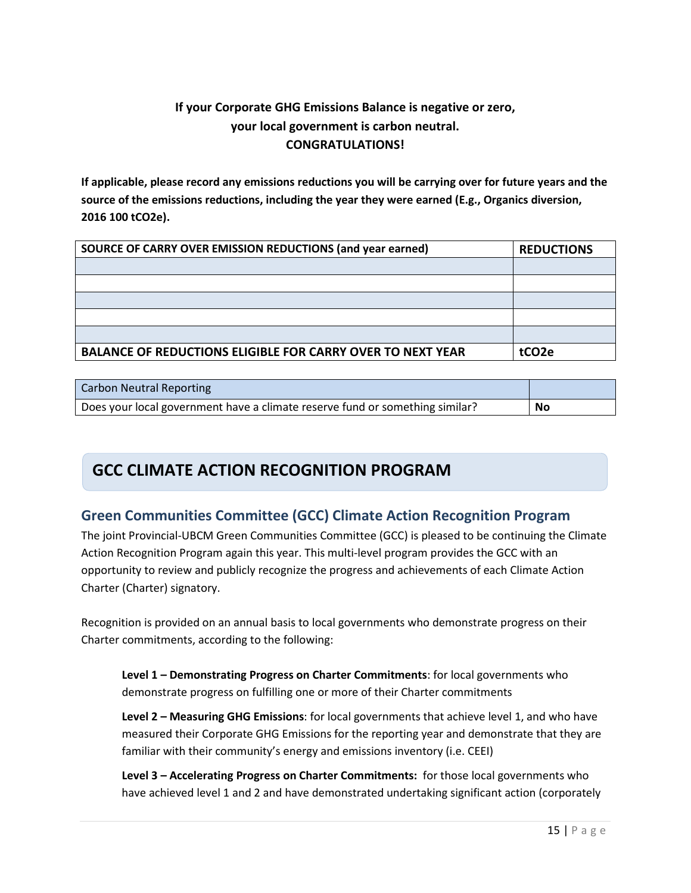## **If your Corporate GHG Emissions Balance is negative or zero, your local government is carbon neutral. CONGRATULATIONS!**

**If applicable, please record any emissions reductions you will be carrying over for future years and the source of the emissions reductions, including the year they were earned (E.g., Organics diversion, 2016 100 tCO2e).** 

| SOURCE OF CARRY OVER EMISSION REDUCTIONS (and year earned)        | <b>REDUCTIONS</b> |
|-------------------------------------------------------------------|-------------------|
|                                                                   |                   |
|                                                                   |                   |
|                                                                   |                   |
|                                                                   |                   |
|                                                                   |                   |
| <b>BALANCE OF REDUCTIONS ELIGIBLE FOR CARRY OVER TO NEXT YEAR</b> | tCO <sub>2e</sub> |

| Carbon Neutral Reporting                                                     |    |
|------------------------------------------------------------------------------|----|
| Does your local government have a climate reserve fund or something similar? | No |

## **GCC CLIMATE ACTION RECOGNITION PROGRAM**

## **Green Communities Committee (GCC) Climate Action Recognition Program**

The joint Provincial-UBCM Green Communities Committee (GCC) is pleased to be continuing the Climate Action Recognition Program again this year. This multi-level program provides the GCC with an opportunity to review and publicly recognize the progress and achievements of each Climate Action Charter (Charter) signatory.

Recognition is provided on an annual basis to local governments who demonstrate progress on their Charter commitments, according to the following:

**Level 1 – Demonstrating Progress on Charter Commitments**: for local governments who demonstrate progress on fulfilling one or more of their Charter commitments

**Level 2 – Measuring GHG Emissions**: for local governments that achieve level 1, and who have measured their Corporate GHG Emissions for the reporting year and demonstrate that they are familiar with their community's energy and emissions inventory (i.e. CEEI)

**Level 3 – Accelerating Progress on Charter Commitments:** for those local governments who have achieved level 1 and 2 and have demonstrated undertaking significant action (corporately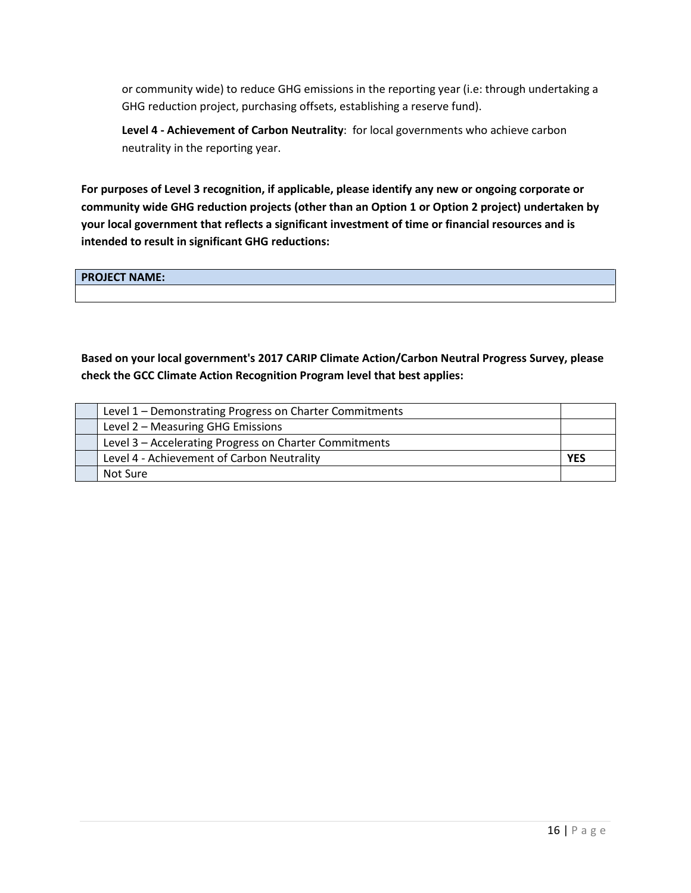or community wide) to reduce GHG emissions in the reporting year (i.e: through undertaking a GHG reduction project, purchasing offsets, establishing a reserve fund).

**Level 4 - Achievement of Carbon Neutrality**: for local governments who achieve carbon neutrality in the reporting year.

**For purposes of Level 3 recognition, if applicable, please identify any new or ongoing corporate or community wide GHG reduction projects (other than an Option 1 or Option 2 project) undertaken by your local government that reflects a significant investment of time or financial resources and is intended to result in significant GHG reductions:**

**PROJECT NAME:**

**Based on your local government's 2017 CARIP Climate Action/Carbon Neutral Progress Survey, please check the GCC Climate Action Recognition Program level that best applies:**

| Level 1 – Demonstrating Progress on Charter Commitments |            |
|---------------------------------------------------------|------------|
| Level 2 - Measuring GHG Emissions                       |            |
| Level 3 - Accelerating Progress on Charter Commitments  |            |
| Level 4 - Achievement of Carbon Neutrality              | <b>YES</b> |
| Not Sure                                                |            |